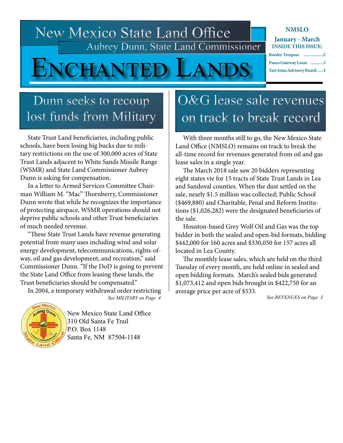New Mexico State Land Office Aubrey Dunn, State Land Commissioner

**IAN** 

### **NMSLO January - March**

**INSIDE THIS ISSUE:**

| Border Trespass 2           |  |
|-----------------------------|--|
| Paseo Gateway Lease 3       |  |
| Tarr Joins Advisory Board 4 |  |

## Dunn seeks to recoup lost funds from Military

 State Trust Land beneficiaries, including public schools, have been losing big bucks due to military restrictions on the use of 300,000 acres of State Trust Lands adjacent to White Sands Missile Range (WSMR) and State Land Commissioner Aubrey Dunn is asking for compensation.

 In a letter to Armed Services Committee Chairman William M. "Mac" Thornberry, Commissioner Dunn wrote that while he recognizes the importance of protecting airspace, WSMR operations should not deprive public schools and other Trust beneficiaries of much needed revenue.

 "These State Trust Lands have revenue generating potential from many uses including wind and solar energy development, telecommunications, rights-ofway, oil and gas development, and recreation," said Commissioner Dunn. "If the DoD is going to prevent the State Land Office from leasing these lands, the Trust beneficiaries should be compensated."

In 2004, a temporary withdrawal order restricting

*See MILITARY on Page 4*



New Mexico State Land Office 310 Old Santa Fe Trail P.O. Box 1148 Santa Fe, NM 87504-1148

# O&G lease sale revenues on track to break record

 With three months still to go, the New Mexico State Land Office (NMSLO) remains on track to break the all-time record for revenues generated from oil and gas lease sales in a single year.

 The March 2018 sale saw 20 bidders representing eight states vie for 15 tracts of State Trust Lands in Lea and Sandoval counties. When the dust settled on the sale, nearly \$1.5 million was collected; Public School (\$469,880) and Charitable, Penal and Reform Institutions (\$1,026,282) were the designated beneficiaries of the sale.

 Houston-based Grey Wolf Oil and Gas was the top bidder in both the sealed and open-bid formats, bidding \$442,000 for 160 acres and \$330,050 for 157 acres all located in Lea County.

 The monthly lease sales, which are held on the third Tuesday of every month, are held online in sealed and open bidding formats. March's sealed bids generated \$1,073,412 and open bids brought in \$422,750 for an average price per acre of \$533.

*See REVENUES on Page 3*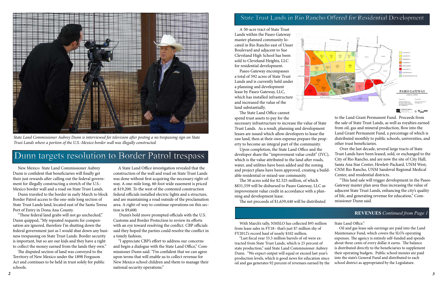## State Trust Lands in Rio Rancho Offered for Residential Development

# Dunn targets resolution to Border Patrol trespass

 New Mexico State Land Commissioner Aubrey Dunn is confident that beneficiaries will finally get their just rewards after calling out the federal government for illegally constructing a stretch of the U.S.- Mexico border wall and a road on State Trust Lands.

 Dunn traveled to the border in early March to block Border Patrol access to the one-mile long section of State Trust Lands land, located east of the Santa Teresa Port of Entry in Dona Ana County.

 "These federal land grabs will not go unchecked," Dunn quipped, "My repeated requests for compensation are ignored, therefore I'm shutting down the federal government just as I would shut down any business trespassing on State Trust Lands. Border security is important, but so are our kids and they have a right to collect the money earned from the lands they own."

 The disputed section of land was conveyed to the Territory of New Mexico under the 1898 Ferguson Act and continues to be held in trust solely for public schools.

 A State Land Office investigation revealed that the construction of the wall and road on State Trust Lands was done without first acquiring the necessary right-ofway. A one-mile long, 60-foot wide easement is priced at \$19,200. To the west of the contested construction federal officials installed electric lights and a structure, and are maintaining a road outside of the proclamation area. A right-of-way to continue operations on this section is \$9,600.

 Dunn's bold move prompted officials with the U.S. Customs and Border Protection to review its efforts with an eye toward resolving the conflict. CBP officials said they hoped the parties could resolve the conflict in a timely fashion,

 "I appreciate CBP's effort to address our concerns and begin a dialogue with the State Land Office," Commissioner Dunn said. "I'm confident that we can agree upon terms that will enable us to collect revenue for New Mexico school children and them to manage their national security operations."



*State Land Commissioner Aubrey Dunn is interviewed for television after posting a no trespassing sign on State Trust Lands where a portion of the U.S.-Mexico border wall was illegally constructed.* 

 With March's tally, NMSLO has collected \$95 million from lease sales in FY18– that's just \$7 million shy of FY2012's record haul of nearly \$102 million. "Last fiscal year 55.5 million barrels of oil were extracted from State Trust Lands, which is 25 percent of state production," said State Land Commissioner Aubrey Dunn. "We expect output will equal or exceed last year's production levels, which is good news for education since oil and gas generates 92 percent of revenues earned by the State Land Office." Oil and gas lease sale earnings are paid into the Land Maintenance Fund, which covers the SLO's operating expenses. The agency is entirely self-funded and spends about three cents of every dollar it earns. The balance is distributed directly to the beneficiaries to supplement their operating budgets. Public school monies are paid into the state's General Fund and distributed to each school district as appropriated by the Legislature.

#### **REVENUES** *Continued from Page 1*

 A 50-acre tract of State Trust Lands within the Paseo Gateway master-planned community located in Rio Rancho east of Unser Boulevard and adjacent to Sue Cleveland High School has been sold to Cleveland Heights, LLC for residential development.

 Paseo Gateway encompasses a total of 592 acres of State Trust Lands and is currently held under a planning and development lease by Paseo Gateway, LLC, which has installed infrastructure and increased the value of the land substantially.



The State Land Office cannot

 Upon completion, the State Land Office and the developer share the "improvement value credit" (IVC), which is the value attributed to the land after roads, water, and utilities have been added and the zoning and project plans have been approved, creating a buildable residential or mixed-use community.

spend trust assets to pay for the necessary infrastructure to increase the value of State Trust Lands. As a result, planning and development leases are issued which allow developers to lease the raw land, then at their own expense prepare the property to become an integral part of the community. to the Land Grant Permanent Fund. Proceeds from the sale of State Trust Lands, as well as royalties earned from oil, gas and mineral production, flow into the Land Grant Permanent Fund, a percentage of which is distributed monthly to public schools, universities, and other trust beneficiaries.

 The 50 acres sold for \$2.525 million, of which \$831,559 will be disbursed to Paseo Gateway, LLC as improvement value credit in accordance with a planning and development lease.

The net proceeds of \$1,639,440 will be distributed

- Over the last decade, several large tracts of State
- Trust Lands have been leased, sold, or exchanged to the City of Rio Rancho, and are now the site of City Hall, Santa Ana Star Center, Hewlett-Packard, UNM West,
- CNM Rio Rancho, UNM Sandoval Regional Medical Center, and residential districts.

 "This land sale will trigger development in the Paseo Gateway master plan area thus increasing the value of adjacent State Trust Lands, enhancing the city's quality of life, and generating revenue for education," Commissioner Dunn said.